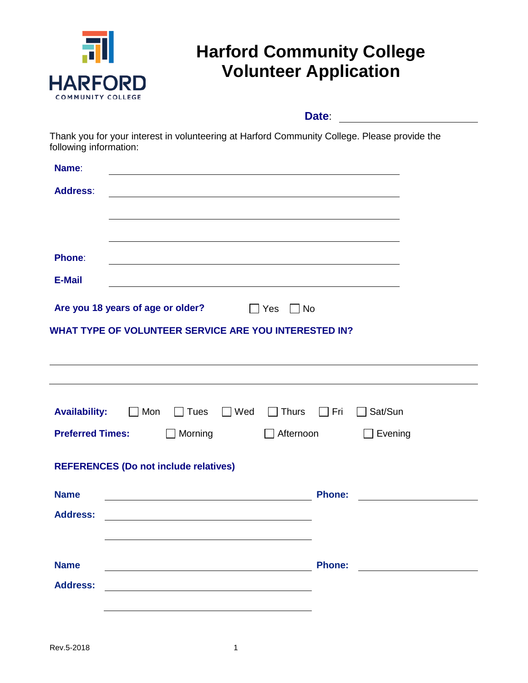

# **Harford Community College Volunteer Application**

 **Date**:

Thank you for your interest in volunteering at Harford Community College. Please provide the following information:

| Name:                                                         |                                    |
|---------------------------------------------------------------|------------------------------------|
| <b>Address:</b>                                               |                                    |
|                                                               |                                    |
|                                                               |                                    |
| <b>Phone:</b>                                                 |                                    |
| <b>E-Mail</b>                                                 |                                    |
| Are you 18 years of age or older? The State<br>$\Box$ No      |                                    |
| WHAT TYPE OF VOLUNTEER SERVICE ARE YOU INTERESTED IN?         |                                    |
|                                                               |                                    |
|                                                               |                                    |
| <b>Availability:</b><br>■ Mon Tues<br>$\Box$ Wed $\Box$ Thurs | $\Box$ Fri<br>$\Box$ Sat/Sun       |
| <b>Preferred Times:</b><br>$\Box$ Morning                     | $\Box$ Afternoon<br>$\Box$ Evening |
| <b>REFERENCES (Do not include relatives)</b>                  |                                    |
| <b>Name</b>                                                   | <b>Phone:</b>                      |
| <b>Address:</b>                                               |                                    |
|                                                               |                                    |
| <b>Name</b>                                                   | <b>Phone:</b>                      |
| <b>Address:</b>                                               |                                    |
|                                                               |                                    |